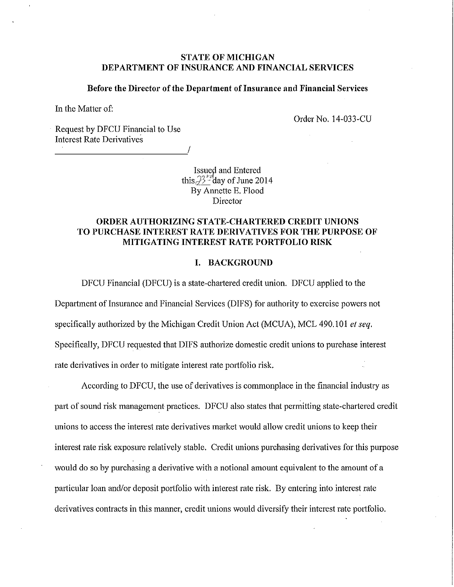# **STATE OF MICHIGAN DEPARTMENT OF INSURANCE AND FINANCIAL SERVICES**

#### **Before the Director of the Department of Insurance and Financial Services**

In the Matter of:

Order No. 14-033-CU

Request by DFCU Financial to Use Interest Rate Derivatives

--------------------~!

Issued and Entered this  $3^{2^{n}}$  day of June 2014 By Annette E. Flood Director

# **ORDER AUTHORIZING STATE-CHARTERED CREDIT UNIONS**  TO PURCHASE INTEREST RATE DERIVATIVES FOR THE PURPOSE OF **MITIGATING INTEREST RATE PORTFOLIO RISK**

### **I. BACKGROUND**

DFCU Financial (DFCU) is a state-chattered credit union. DFCU applied to the Department of Insurance and Financial Services (DIFS) for authority to exercise powers not specifically authorized by the Michigan Credit Union Act (MCUA), MCL 490.101 *et seq.* Specifically, DFCU requested that DIFS authorize domestic credit unions to purchase interest rate derivatives in order to mitigate interest rate portfolio risk.

According to DFCU, the use of derivatives is commonplace in the financial industry as part of sound risk management practices. DFCU also states that permitting state-chartered credit unions to access the interest rate derivatives market would allow credit unions to keep their interest rate risk exposure relatively stable. Credit unions purchasing derivatives for this purpose would do so by purchasing a derivative with a notional amount equivalent to the amount of a particular loan and/or deposit portfolio with interest rate risk. By entering into interest rate derivatives contracts in this manner, credit unions would diversify their interest rate portfolio.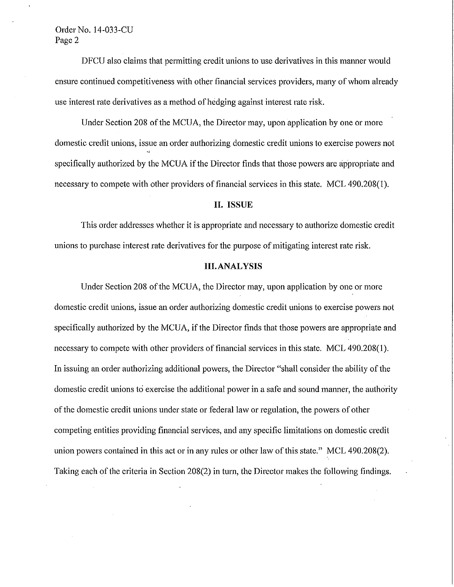# Order No. 14-033-CU Page 2

DFCU also claims that permitting credit unions to use derivatives in this manner would ensure continued competitiveness with other financial services providers, many of whom already use interest rate derivatives as a method of hedging against interest rate risk.

Under Section 208 of the MCUA, the Director may, upon application by one or more domestic credit unions, issue an order authorizing domestic credit unions to exercise powers not specifically authorized by the MCUA if the Director finds that those powers are appropriate and necessary to compete with other providers of financial services in this state. MCL 490.208(1).

## **II. ISSUE**

This order addresses whether it is appropriate and necessary to authorize domestic credit unions to purchase interest rate derivatives for the purpose of mitigating interest rate risk.

## **III.ANALYSIS**

Under Section 208 of the MCUA, the Director may, upon application by one or more domestic credit unions, issue an order authorizing domestic credit unions to exercise powers not specifically authorized by the MCUA, if the Director finds that those powers are appropriate and necessary to compete with other providers of financial services in this state. MCL 490.208(1). In issuing an order authorizing additional powers, the Director "shall consider the ability of the domestic credit unions to exercise the additional power in a safe and sound manner, the authority of the domestic credit unions under state or federal law or regulation, the powers of other competing entities providing financial services, and any specific limitations on domestic credit union powers contained in this act or in any rules or other law of this state." MCL 490.208(2). Taking each of the criteria in Section 208(2) in turn, the Director makes the following findings.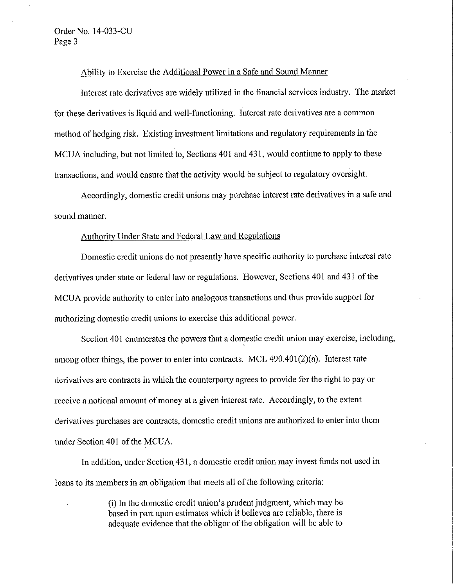## Ability to Exercise the Additional Power in a Safe and Sound Manner

Interest rate derivatives are widely utilized in the financial services industry. The market for these derivatives is liquid and well-functioning. Interest rate derivatives are a common method of hedging risk. Existing investment limitations and regulatory requirements in the MCUA including, but not limited to, Sections 401 and 431, would continue to apply to these transactions, and would ensure that the activity would be subject to regulatory oversight.

Accordingly, domestic credit unions may purchase interest rate derivatives in a safe and sound manner.

## Authority Under State and Federal Law and Regulations

Domestic credit unions do not presently have specific authority to purchase interest rate derivatives under state or federal law or regulations. However, Sections 401 and 431 of the MCUA provide authority to enter into analogous transactions and thus provide support for authorizing domestic credit unions to exercise this additional power.

Section 401 enumerates the powers that a domestic credit union may exercise, including, among other things, the power to enter into contracts. MCL 490.401(2)(a). Interest rate derivatives are contracts in which the counterparty agrees to provide for the right to pay or receive a notional amount of money at a given interest rate. Accordingly, to the extent derivatives purchases are contracts, domestic credit unions are authorized to enter into them under Section 401 of the MCUA.

In addition, under Section. 431, a domestic credit union may invest funds not used in loans to its members in an obligation that meets all of the following criteria:

> (i) In the domestic credit union's prudent judgment, which may be based in part upon estimates which it believes are reliable, there is adequate evidence that the obligor of the obligation will be able to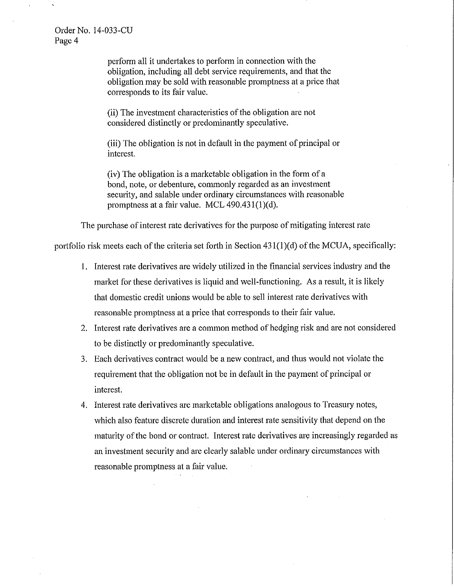Order No. 14-033-CU Page 4

> perform all it undertakes to perform in connection with the obligation, including all debt service requirements, and that the obligation may be sold with reasonable promptness at a price that corresponds to its fair value.

(ii) The investment characteristics of the obligation are not considered distinctly or predominantly speculative.

(iii) The obligation is not in default in the payment of principal or interest.

(iv) The obligation is a marketable obligation in the form of a bond, note, or debenture, commonly regarded as an investment security, and salable under ordinary circumstances with reasonable promptness at a fair value. MCL 490.431(1)(d).

The purchase of interest rate derivatives for the purpose of mitigating interest rate

portfolio risk meets each of the criteria set forth in Section  $431(1)(d)$  of the MCUA, specifically:

- 1. Interest rate derivatives are widely utilized in the financial services industry and the market for these derivatives is liquid and well-functioning. As a result, it is likely that domestic credit unions would be able to sell interest rate derivatives with reasonable promptness at a price that conesponds to their fair value.
- 2. Interest rate derivatives are a common method of hedging risk and are not considered to be distinctly or predominantly speculative.
- 3. Each derivatives contract would be a new contract, and thus would not violate the requirement that the obligation not be in default in the payment of principal or interest.
- 4. Interest rate derivatives are marketable obligations analogous to Treasury notes, which also feature discrete duration and interest rate sensitivity that depend on the maturity of the bond or contract. Interest rate derivatives are increasingly regarded as an investment security and are clearly salable under ordinary circumstances with reasonable promptness at a fair value.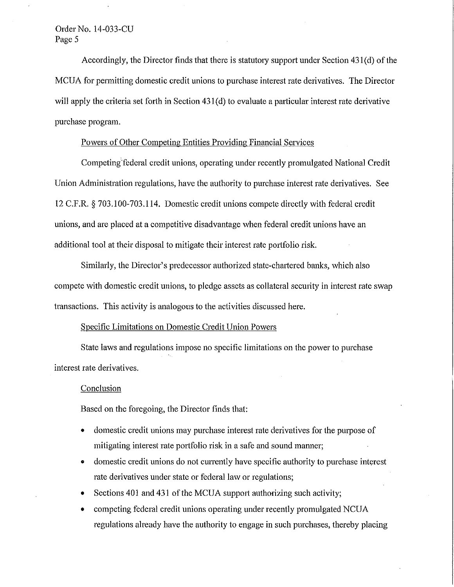# Order No. 14-033-CU Page 5

Accordingly, the Director finds that there is statutory support under Section 431(d) of the MCUA for pennitting domestic credit unions to purchase interest rate derivatives. The Director will apply the criteria set forth in Section 431(d) to evaluate a particular interest rate derivative purchase program.

# Powers of Other Competing Entities Providing Financial Services

Competing federal credit unions, operating under recently promulgated National Credit Union Administration regulations, have the authority to purchase interest rate derivatives. See 12 C.F.R. § 703.100-703.114. Domestic credit unions compete directly with federal credit unions, and are placed at a competitive disadvantage when federal credit unions have an additional tool at their disposal to mitigate their interest rate portfolio risk.

Similarly, the Director's predecessor authorized state-chartered banks, which also compete with domestic credit unions, to pledge assets as collateral security in interest rate swap transactions. This activity is analogous to the activities discussed here.

# Specific Limitations on Domestic Credit Union Powers

State laws and regulations impose no specific limitations on the power to purchase interest rate derivatives.

#### Conclusion

Based on the foregoing, the Director finds that:

- domestic credit unions may purchase interest rate derivatives for the purpose of mitigating interest rate portfolio risk in a safe and sound manner;
- domestic credit unions do not currently have specific authority to purchase interest rate derivatives under state or federal law or regulations;
- Sections 401 and 431 of the MCUA support authorizing such activity;
- competing federal credit unions operating under recently promulgated NCUA regulations already have the authority to engage in such purchases, thereby placing